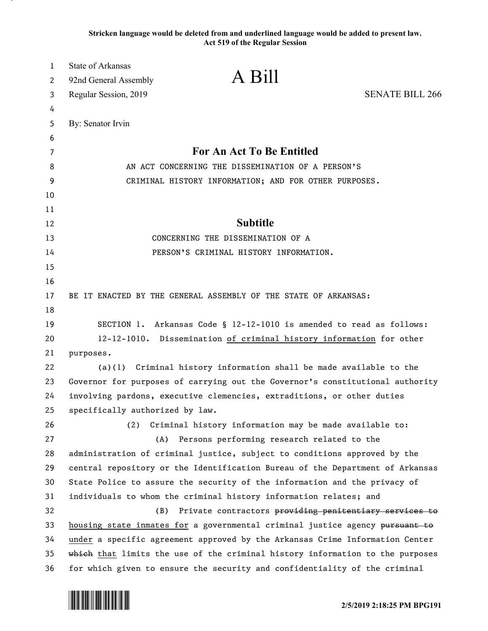**Stricken language would be deleted from and underlined language would be added to present law. Act 519 of the Regular Session**

| 1  | <b>State of Arkansas</b>                                                      |                                                                      |
|----|-------------------------------------------------------------------------------|----------------------------------------------------------------------|
| 2  | A Bill<br>92nd General Assembly                                               |                                                                      |
| 3  | Regular Session, 2019                                                         | <b>SENATE BILL 266</b>                                               |
| 4  |                                                                               |                                                                      |
| 5  | By: Senator Irvin                                                             |                                                                      |
| 6  |                                                                               |                                                                      |
| 7  | For An Act To Be Entitled                                                     |                                                                      |
| 8  | AN ACT CONCERNING THE DISSEMINATION OF A PERSON'S                             |                                                                      |
| 9  | CRIMINAL HISTORY INFORMATION; AND FOR OTHER PURPOSES.                         |                                                                      |
| 10 |                                                                               |                                                                      |
| 11 |                                                                               |                                                                      |
| 12 |                                                                               | <b>Subtitle</b>                                                      |
| 13 | CONCERNING THE DISSEMINATION OF A                                             |                                                                      |
| 14 | PERSON'S CRIMINAL HISTORY INFORMATION.                                        |                                                                      |
| 15 |                                                                               |                                                                      |
| 16 |                                                                               |                                                                      |
| 17 | BE IT ENACTED BY THE GENERAL ASSEMBLY OF THE STATE OF ARKANSAS:               |                                                                      |
| 18 |                                                                               |                                                                      |
| 19 |                                                                               | SECTION 1. Arkansas Code § 12-12-1010 is amended to read as follows: |
| 20 | 12-12-1010. Dissemination of criminal history information for other           |                                                                      |
| 21 | purposes.                                                                     |                                                                      |
| 22 |                                                                               | $(a)(1)$ Criminal history information shall be made available to the |
| 23 | Governor for purposes of carrying out the Governor's constitutional authority |                                                                      |
| 24 | involving pardons, executive clemencies, extraditions, or other duties        |                                                                      |
| 25 | specifically authorized by law.                                               |                                                                      |
| 26 | (2)                                                                           | Criminal history information may be made available to:               |
| 27 | (A)                                                                           | Persons performing research related to the                           |
| 28 | administration of criminal justice, subject to conditions approved by the     |                                                                      |
| 29 | central repository or the Identification Bureau of the Department of Arkansas |                                                                      |
| 30 | State Police to assure the security of the information and the privacy of     |                                                                      |
| 31 | individuals to whom the criminal history information relates; and             |                                                                      |
| 32 | Private contractors providing penitentiary services to<br>(B)                 |                                                                      |
| 33 | housing state inmates for a governmental criminal justice agency pursuant to  |                                                                      |
| 34 | under a specific agreement approved by the Arkansas Crime Information Center  |                                                                      |
| 35 | which that limits the use of the criminal history information to the purposes |                                                                      |
| 36 | for which given to ensure the security and confidentiality of the criminal    |                                                                      |